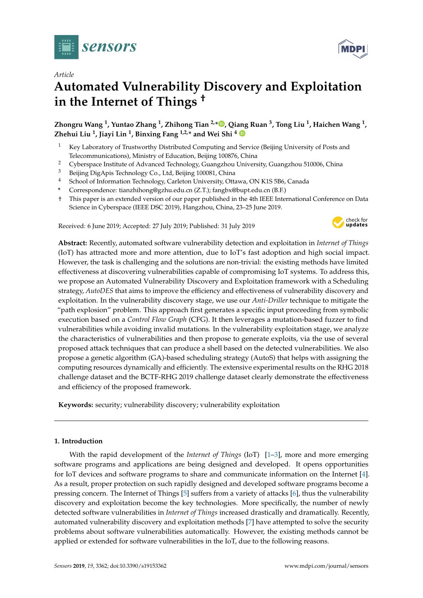



# **Automated Vulnerability Discovery and Exploitation in the Internet of Things †**

**Zhongru Wang <sup>1</sup> , Yuntao Zhang <sup>1</sup> , Zhihong Tian 2,[\\*](https://orcid.org/0000-0002-9409-5359) , Qiang Ruan <sup>3</sup> , Tong Liu <sup>1</sup> , Haichen Wang <sup>1</sup> , Zhehui Liu <sup>1</sup> , Jiayi Lin <sup>1</sup> , Binxing Fang 1,2,\* and Wei Shi <sup>4</sup>**

- <sup>1</sup> Key Laboratory of Trustworthy Distributed Computing and Service (Beijing University of Posts and Telecommunications), Ministry of Education, Beijing 100876, China
- <sup>2</sup> Cyberspace Institute of Advanced Technology, Guangzhou University, Guangzhou 510006, China
- <sup>3</sup> Beijing DigApis Technology Co., Ltd, Beijing 100081, China
- <sup>4</sup> School of Information Technology, Carleton University, Ottawa, ON K1S 5B6, Canada
- **\*** Correspondence: tianzhihong@gzhu.edu.cn (Z.T.); fangbx@bupt.edu.cn (B.F.)
- † This paper is an extended version of our paper published in the 4th IEEE International Conference on Data Science in Cyberspace (IEEE DSC 2019), Hangzhou, China, 23–25 June 2019.

Received: 6 June 2019; Accepted: 27 July 2019; Published: 31 July 2019



**MDPI** 

**Abstract:** Recently, automated software vulnerability detection and exploitation in *Internet of Things* (IoT) has attracted more and more attention, due to IoT's fast adoption and high social impact. However, the task is challenging and the solutions are non-trivial: the existing methods have limited effectiveness at discovering vulnerabilities capable of compromising IoT systems. To address this, we propose an Automated Vulnerability Discovery and Exploitation framework with a Scheduling strategy, *AutoDES* that aims to improve the efficiency and effectiveness of vulnerability discovery and exploitation. In the vulnerability discovery stage, we use our *Anti-Driller* technique to mitigate the "path explosion" problem. This approach first generates a specific input proceeding from symbolic execution based on a *Control Flow Graph* (CFG). It then leverages a mutation-based fuzzer to find vulnerabilities while avoiding invalid mutations. In the vulnerability exploitation stage, we analyze the characteristics of vulnerabilities and then propose to generate exploits, via the use of several proposed attack techniques that can produce a shell based on the detected vulnerabilities. We also propose a genetic algorithm (GA)-based scheduling strategy (AutoS) that helps with assigning the computing resources dynamically and efficiently. The extensive experimental results on the RHG 2018 challenge dataset and the BCTF-RHG 2019 challenge dataset clearly demonstrate the effectiveness and efficiency of the proposed framework.

**Keywords:** security; vulnerability discovery; vulnerability exploitation

# **1. Introduction**

With the rapid development of the *Internet of Things* (IoT) [\[1](#page-19-0)[–3\]](#page-19-1), more and more emerging software programs and applications are being designed and developed. It opens opportunities for IoT devices and software programs to share and communicate information on the Internet [\[4\]](#page-19-2). As a result, proper protection on such rapidly designed and developed software programs become a pressing concern. The Internet of Things [\[5\]](#page-19-3) suffers from a variety of attacks [\[6\]](#page-19-4), thus the vulnerability discovery and exploitation become the key technologies. More specifically, the number of newly detected software vulnerabilities in *Internet of Things* increased drastically and dramatically. Recently, automated vulnerability discovery and exploitation methods [\[7\]](#page-19-5) have attempted to solve the security problems about software vulnerabilities automatically. However, the existing methods cannot be applied or extended for software vulnerabilities in the IoT, due to the following reasons.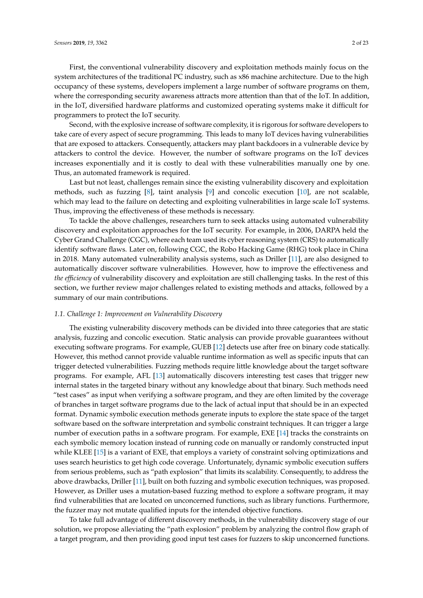Second, with the explosive increase of software complexity, it is rigorous for software developers to take care of every aspect of secure programming. This leads to many IoT devices having vulnerabilities that are exposed to attackers. Consequently, attackers may plant backdoors in a vulnerable device by attackers to control the device. However, the number of software programs on the IoT devices increases exponentially and it is costly to deal with these vulnerabilities manually one by one. Thus, an automated framework is required.

Last but not least, challenges remain since the existing vulnerability discovery and exploitation methods, such as fuzzing [\[8\]](#page-19-6), taint analysis [\[9\]](#page-19-7) and concolic execution [\[10\]](#page-19-8), are not scalable, which may lead to the failure on detecting and exploiting vulnerabilities in large scale IoT systems. Thus, improving the effectiveness of these methods is necessary.

To tackle the above challenges, researchers turn to seek attacks using automated vulnerability discovery and exploitation approaches for the IoT security. For example, in 2006, DARPA held the Cyber Grand Challenge (CGC), where each team used its cyber reasoning system (CRS) to automatically identify software flaws. Later on, following CGC, the Robo Hacking Game (RHG) took place in China in 2018. Many automated vulnerability analysis systems, such as Driller [\[11\]](#page-20-0), are also designed to automatically discover software vulnerabilities. However, how to improve the effectiveness and *the efficiency* of vulnerability discovery and exploitation are still challenging tasks. In the rest of this section, we further review major challenges related to existing methods and attacks, followed by a summary of our main contributions.

## *1.1. Challenge 1: Improvement on Vulnerability Discovery*

The existing vulnerability discovery methods can be divided into three categories that are static analysis, fuzzing and concolic execution. Static analysis can provide provable guarantees without executing software programs. For example, GUEB [\[12\]](#page-20-1) detects use after free on binary code statically. However, this method cannot provide valuable runtime information as well as specific inputs that can trigger detected vulnerabilities. Fuzzing methods require little knowledge about the target software programs. For example, AFL [\[13\]](#page-20-2) automatically discovers interesting test cases that trigger new internal states in the targeted binary without any knowledge about that binary. Such methods need "test cases" as input when verifying a software program, and they are often limited by the coverage of branches in target software programs due to the lack of actual input that should be in an expected format. Dynamic symbolic execution methods generate inputs to explore the state space of the target software based on the software interpretation and symbolic constraint techniques. It can trigger a large number of execution paths in a software program. For example, EXE [\[14\]](#page-20-3) tracks the constraints on each symbolic memory location instead of running code on manually or randomly constructed input while KLEE [\[15\]](#page-20-4) is a variant of EXE, that employs a variety of constraint solving optimizations and uses search heuristics to get high code coverage. Unfortunately, dynamic symbolic execution suffers from serious problems, such as "path explosion" that limits its scalability. Consequently, to address the above drawbacks, Driller [\[11\]](#page-20-0), built on both fuzzing and symbolic execution techniques, was proposed. However, as Driller uses a mutation-based fuzzing method to explore a software program, it may find vulnerabilities that are located on unconcerned functions, such as library functions. Furthermore, the fuzzer may not mutate qualified inputs for the intended objective functions.

To take full advantage of different discovery methods, in the vulnerability discovery stage of our solution, we propose alleviating the "path explosion" problem by analyzing the control flow graph of a target program, and then providing good input test cases for fuzzers to skip unconcerned functions.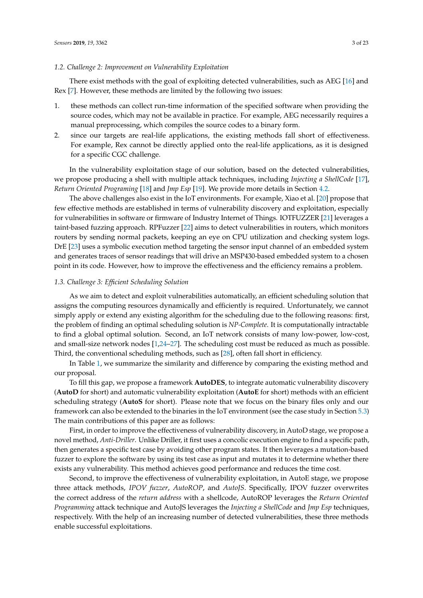There exist methods with the goal of exploiting detected vulnerabilities, such as AEG [\[16\]](#page-20-5) and Rex [\[7\]](#page-19-5). However, these methods are limited by the following two issues:

- 1. these methods can collect run-time information of the specified software when providing the source codes, which may not be available in practice. For example, AEG necessarily requires a manual preprocessing, which compiles the source codes to a binary form.
- 2. since our targets are real-life applications, the existing methods fall short of effectiveness. For example, Rex cannot be directly applied onto the real-life applications, as it is designed for a specific CGC challenge.

In the vulnerability exploitation stage of our solution, based on the detected vulnerabilities, we propose producing a shell with multiple attack techniques, including *Injecting a ShellCode* [\[17\]](#page-20-6), *Return Oriented Programing* [\[18\]](#page-20-7) and *Jmp Esp* [\[19\]](#page-20-8). We provide more details in Section [4.2.](#page-8-0)

The above challenges also exist in the IoT environments. For example, Xiao et al. [\[20\]](#page-20-9) propose that few effective methods are established in terms of vulnerability discovery and exploitation, especially for vulnerabilities in software or firmware of Industry Internet of Things. IOTFUZZER [\[21\]](#page-20-10) leverages a taint-based fuzzing approach. RPFuzzer [\[22\]](#page-20-11) aims to detect vulnerabilities in routers, which monitors routers by sending normal packets, keeping an eye on CPU utilization and checking system logs. DrE [\[23\]](#page-20-12) uses a symbolic execution method targeting the sensor input channel of an embedded system and generates traces of sensor readings that will drive an MSP430-based embedded system to a chosen point in its code. However, how to improve the effectiveness and the efficiency remains a problem.

#### *1.3. Challenge 3: Efficient Scheduling Solution*

As we aim to detect and exploit vulnerabilities automatically, an efficient scheduling solution that assigns the computing resources dynamically and efficiently is required. Unfortunately, we cannot simply apply or extend any existing algorithm for the scheduling due to the following reasons: first, the problem of finding an optimal scheduling solution is *NP-Complete*. It is computationally intractable to find a global optimal solution. Second, an IoT network consists of many low-power, low-cost, and small-size network nodes [\[1,](#page-19-0)[24–](#page-20-13)[27\]](#page-20-14). The scheduling cost must be reduced as much as possible. Third, the conventional scheduling methods, such as [\[28\]](#page-20-15), often fall short in efficiency.

In Table [1,](#page-3-0) we summarize the similarity and difference by comparing the existing method and our proposal.

To fill this gap, we propose a framework **AutoDES**, to integrate automatic vulnerability discovery (**AutoD** for short) and automatic vulnerability exploitation (**AutoE** for short) methods with an efficient scheduling strategy (**AutoS** for short). Please note that we focus on the binary files only and our framework can also be extended to the binaries in the IoT environment (see the case study in Section [5.3\)](#page-17-0) The main contributions of this paper are as follows:

First, in order to improve the effectiveness of vulnerability discovery, in AutoD stage, we propose a novel method, *Anti-Driller*. Unlike Driller, it first uses a concolic execution engine to find a specific path, then generates a specific test case by avoiding other program states. It then leverages a mutation-based fuzzer to explore the software by using its test case as input and mutates it to determine whether there exists any vulnerability. This method achieves good performance and reduces the time cost.

Second, to improve the effectiveness of vulnerability exploitation, in AutoE stage, we propose three attack methods, *IPOV fuzzer*, *AutoROP*, and *AutoJS*. Specifically, IPOV fuzzer overwrites the correct address of the *return address* with a shellcode, AutoROP leverages the *Return Oriented Programming* attack technique and AutoJS leverages the *Injecting a ShellCode* and *Jmp Esp* techniques, respectively. With the help of an increasing number of detected vulnerabilities, these three methods enable successful exploitations.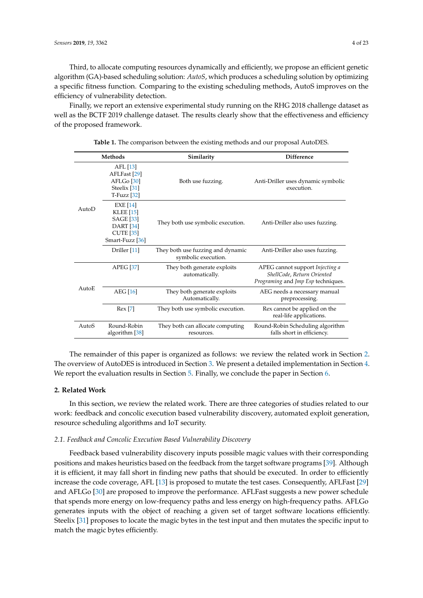Third, to allocate computing resources dynamically and efficiently, we propose an efficient genetic algorithm (GA)-based scheduling solution: *AutoS*, which produces a scheduling solution by optimizing a specific fitness function. Comparing to the existing scheduling methods, AutoS improves on the efficiency of vulnerability detection.

Finally, we report an extensive experimental study running on the RHG 2018 challenge dataset as well as the BCTF 2019 challenge dataset. The results clearly show that the effectiveness and efficiency of the proposed framework.

<span id="page-3-0"></span>

| <b>Methods</b> |                                                                                                                    | Similarity                                               | <b>Difference</b>                                                                                          |  |  |  |
|----------------|--------------------------------------------------------------------------------------------------------------------|----------------------------------------------------------|------------------------------------------------------------------------------------------------------------|--|--|--|
| AutoD          | AFL [13]<br>AFLFast <sup>[29]</sup><br>AFLGo <sup>[30]</sup><br>Steelix <sup>[31]</sup><br>$T$ -Fuzz [32]          | Both use fuzzing.                                        | Anti-Driller uses dynamic symbolic<br>execution.<br>Anti-Driller also uses fuzzing.                        |  |  |  |
|                | <b>EXE</b> [14]<br><b>KLEE</b> [15]<br><b>SAGE</b> [33]<br><b>DART</b> [34]<br><b>CUTE</b> [35]<br>Smart-Fuzz [36] | They both use symbolic execution.                        |                                                                                                            |  |  |  |
|                | Driller [11]                                                                                                       | They both use fuzzing and dynamic<br>symbolic execution. | Anti-Driller also uses fuzzing.                                                                            |  |  |  |
|                | <b>APEG</b> [37]                                                                                                   | They both generate exploits<br>automatically.            | APEG cannot support <i>Injecting a</i><br>ShellCode, Return Oriented<br>Programing and Jmp Esp techniques. |  |  |  |
| AutoE          | <b>AEG</b> [16]                                                                                                    | They both generate exploits<br>Automatically.            | AEG needs a necessary manual<br>preprocessing.                                                             |  |  |  |
|                | $\operatorname{Rex}[7]$                                                                                            | They both use symbolic execution.                        | Rex cannot be applied on the<br>real-life applications.                                                    |  |  |  |
| AutoS          | Round-Robin<br>algorithm [38]                                                                                      | They both can allocate computing<br>resources.           | Round-Robin Scheduling algorithm<br>falls short in efficiency.                                             |  |  |  |

**Table 1.** The comparison between the existing methods and our proposal AutoDES.

The remainder of this paper is organized as follows: we review the related work in Section [2.](#page-3-1) The overview of AutoDES is introduced in Section [3.](#page-5-0) We present a detailed implementation in Section [4.](#page-6-0) We report the evaluation results in Section [5.](#page-13-0) Finally, we conclude the paper in Section [6.](#page-19-9)

#### <span id="page-3-1"></span>**2. Related Work**

In this section, we review the related work. There are three categories of studies related to our work: feedback and concolic execution based vulnerability discovery, automated exploit generation, resource scheduling algorithms and IoT security.

## *2.1. Feedback and Concolic Execution Based Vulnerability Discovery*

Feedback based vulnerability discovery inputs possible magic values with their corresponding positions and makes heuristics based on the feedback from the target software programs [\[39\]](#page-21-6). Although it is efficient, it may fall short in finding new paths that should be executed. In order to efficiently increase the code coverage, AFL [\[13\]](#page-20-2) is proposed to mutate the test cases. Consequently, AFLFast [\[29\]](#page-20-16) and AFLGo [\[30\]](#page-20-17) are proposed to improve the performance. AFLFast suggests a new power schedule that spends more energy on low-frequency paths and less energy on high-frequency paths. AFLGo generates inputs with the object of reaching a given set of target software locations efficiently. Steelix [\[31\]](#page-20-18) proposes to locate the magic bytes in the test input and then mutates the specific input to match the magic bytes efficiently.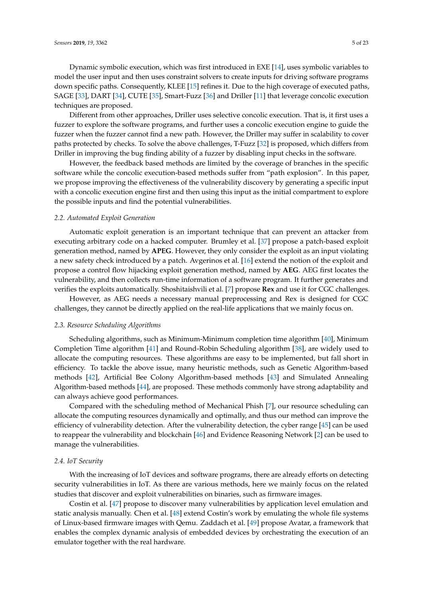Dynamic symbolic execution, which was first introduced in EXE [\[14\]](#page-20-3), uses symbolic variables to model the user input and then uses constraint solvers to create inputs for driving software programs down specific paths. Consequently, KLEE [\[15\]](#page-20-4) refines it. Due to the high coverage of executed paths, SAGE [\[33\]](#page-21-0), DART [\[34\]](#page-21-1), CUTE [\[35\]](#page-21-2), Smart-Fuzz [\[36\]](#page-21-3) and Driller [\[11\]](#page-20-0) that leverage concolic execution techniques are proposed.

Different from other approaches, Driller uses selective concolic execution. That is, it first uses a fuzzer to explore the software programs, and further uses a concolic execution engine to guide the fuzzer when the fuzzer cannot find a new path. However, the Driller may suffer in scalability to cover paths protected by checks. To solve the above challenges, T-Fuzz [\[32\]](#page-20-19) is proposed, which differs from Driller in improving the bug finding ability of a fuzzer by disabling input checks in the software.

However, the feedback based methods are limited by the coverage of branches in the specific software while the concolic execution-based methods suffer from "path explosion". In this paper, we propose improving the effectiveness of the vulnerability discovery by generating a specific input with a concolic execution engine first and then using this input as the initial compartment to explore the possible inputs and find the potential vulnerabilities.

#### *2.2. Automated Exploit Generation*

Automatic exploit generation is an important technique that can prevent an attacker from executing arbitrary code on a hacked computer. Brumley et al. [\[37\]](#page-21-4) propose a patch-based exploit generation method, named by **APEG**. However, they only consider the exploit as an input violating a new safety check introduced by a patch. Avgerinos et al. [\[16\]](#page-20-5) extend the notion of the exploit and propose a control flow hijacking exploit generation method, named by **AEG**. AEG first locates the vulnerability, and then collects run-time information of a software program. It further generates and verifies the exploits automatically. Shoshitaishvili et al. [\[7\]](#page-19-5) propose **Rex** and use it for CGC challenges.

However, as AEG needs a necessary manual preprocessing and Rex is designed for CGC challenges, they cannot be directly applied on the real-life applications that we mainly focus on.

## *2.3. Resource Scheduling Algorithms*

Scheduling algorithms, such as Minimum-Minimum completion time algorithm [\[40\]](#page-21-7), Minimum Completion Time algorithm [\[41\]](#page-21-8) and Round-Robin Scheduling algorithm [\[38\]](#page-21-5), are widely used to allocate the computing resources. These algorithms are easy to be implemented, but fall short in efficiency. To tackle the above issue, many heuristic methods, such as Genetic Algorithm-based methods [\[42\]](#page-21-9), Artificial Bee Colony Algorithm-based methods [\[43\]](#page-21-10) and Simulated Annealing Algorithm-based methods [\[44\]](#page-21-11), are proposed. These methods commonly have strong adaptability and can always achieve good performances.

Compared with the scheduling method of Mechanical Phish [\[7\]](#page-19-5), our resource scheduling can allocate the computing resources dynamically and optimally, and thus our method can improve the efficiency of vulnerability detection. After the vulnerability detection, the cyber range [\[45\]](#page-21-12) can be used to reappear the vulnerability and blockchain [\[46\]](#page-21-13) and Evidence Reasoning Network [\[2\]](#page-19-10) can be used to manage the vulnerabilities.

## *2.4. IoT Security*

With the increasing of IoT devices and software programs, there are already efforts on detecting security vulnerabilities in IoT. As there are various methods, here we mainly focus on the related studies that discover and exploit vulnerabilities on binaries, such as firmware images.

Costin et al. [\[47\]](#page-21-14) propose to discover many vulnerabilities by application level emulation and static analysis manually. Chen et al. [\[48\]](#page-21-15) extend Costin's work by emulating the whole file systems of Linux-based firmware images with Qemu. Zaddach et al. [\[49\]](#page-21-16) propose Avatar, a framework that enables the complex dynamic analysis of embedded devices by orchestrating the execution of an emulator together with the real hardware.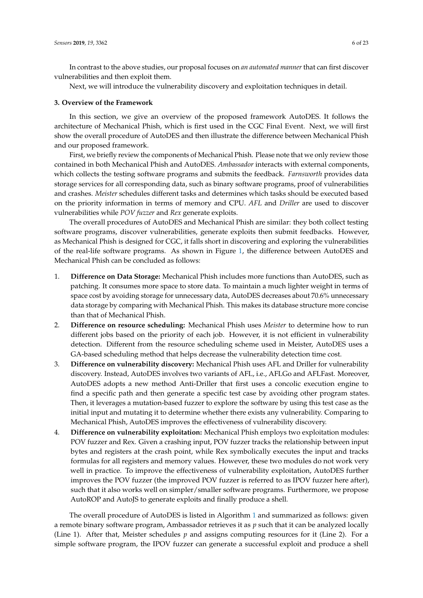In contrast to the above studies, our proposal focuses on *an automated manner* that can first discover vulnerabilities and then exploit them.

Next, we will introduce the vulnerability discovery and exploitation techniques in detail.

## <span id="page-5-0"></span>**3. Overview of the Framework**

In this section, we give an overview of the proposed framework AutoDES. It follows the architecture of Mechanical Phish, which is first used in the CGC Final Event. Next, we will first show the overall procedure of AutoDES and then illustrate the difference between Mechanical Phish and our proposed framework.

First, we briefly review the components of Mechanical Phish. Please note that we only review those contained in both Mechanical Phish and AutoDES. *Ambassador* interacts with external components, which collects the testing software programs and submits the feedback. *Farnsworth* provides data storage services for all corresponding data, such as binary software programs, proof of vulnerabilities and crashes. *Meister* schedules different tasks and determines which tasks should be executed based on the priority information in terms of memory and CPU. *AFL* and *Driller* are used to discover vulnerabilities while *POV fuzzer* and *Rex* generate exploits.

The overall procedures of AutoDES and Mechanical Phish are similar: they both collect testing software programs, discover vulnerabilities, generate exploits then submit feedbacks. However, as Mechanical Phish is designed for CGC, it falls short in discovering and exploring the vulnerabilities of the real-life software programs. As shown in Figure [1,](#page-6-1) the difference between AutoDES and Mechanical Phish can be concluded as follows:

- 1. **Difference on Data Storage:** Mechanical Phish includes more functions than AutoDES, such as patching. It consumes more space to store data. To maintain a much lighter weight in terms of space cost by avoiding storage for unnecessary data, AutoDES decreases about 70.6% unnecessary data storage by comparing with Mechanical Phish. This makes its database structure more concise than that of Mechanical Phish.
- 2. **Difference on resource scheduling:** Mechanical Phish uses *Meister* to determine how to run different jobs based on the priority of each job. However, it is not efficient in vulnerability detection. Different from the resource scheduling scheme used in Meister, AutoDES uses a GA-based scheduling method that helps decrease the vulnerability detection time cost.
- 3. **Difference on vulnerability discovery:** Mechanical Phish uses AFL and Driller for vulnerability discovery. Instead, AutoDES involves two variants of AFL, i.e., AFLGo and AFLFast. Moreover, AutoDES adopts a new method Anti-Driller that first uses a concolic execution engine to find a specific path and then generate a specific test case by avoiding other program states. Then, it leverages a mutation-based fuzzer to explore the software by using this test case as the initial input and mutating it to determine whether there exists any vulnerability. Comparing to Mechanical Phish, AutoDES improves the effectiveness of vulnerability discovery.
- 4. **Difference on vulnerability exploitation:** Mechanical Phish employs two exploitation modules: POV fuzzer and Rex. Given a crashing input, POV fuzzer tracks the relationship between input bytes and registers at the crash point, while Rex symbolically executes the input and tracks formulas for all registers and memory values. However, these two modules do not work very well in practice. To improve the effectiveness of vulnerability exploitation, AutoDES further improves the POV fuzzer (the improved POV fuzzer is referred to as IPOV fuzzer here after), such that it also works well on simpler/smaller software programs. Furthermore, we propose AutoROP and AutoJS to generate exploits and finally produce a shell.

The overall procedure of AutoDES is listed in Algorithm [1](#page-6-2) and summarized as follows: given a remote binary software program, Ambassador retrieves it as *p* such that it can be analyzed locally (Line 1). After that, Meister schedules  $p$  and assigns computing resources for it (Line 2). For a simple software program, the IPOV fuzzer can generate a successful exploit and produce a shell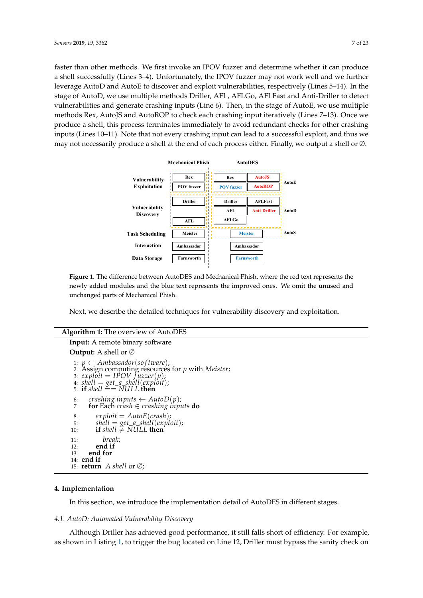faster than other methods. We first invoke an IPOV fuzzer and determine whether it can produce a shell successfully (Lines 3–4). Unfortunately, the IPOV fuzzer may not work well and we further leverage AutoD and AutoE to discover and exploit vulnerabilities, respectively (Lines 5–14). In the stage of AutoD, we use multiple methods Driller, AFL, AFLGo, AFLFast and Anti-Driller to detect vulnerabilities and generate crashing inputs (Line 6). Then, in the stage of AutoE, we use multiple methods Rex, AutoJS and AutoROP to check each crashing input iteratively (Lines 7–13). Once we produce a shell, this process terminates immediately to avoid redundant checks for other crashing inputs (Lines 10–11). Note that not every crashing input can lead to a successful exploit, and thus we may not necessarily produce a shell at the end of each process either. Finally, we output a shell or  $\varnothing$ .

<span id="page-6-1"></span>

**Figure 1.** The difference between AutoDES and Mechanical Phish, where the red text represents the newly added modules and the blue text represents the improved ones. We omit the unused and unchanged parts of Mechanical Phish.

Next, we describe the detailed techniques for vulnerability discovery and exploitation.

```
Algorithm 1: The overview of AutoDES
  Input: A remote binary software
  Output: A shell or ∅
    1: p \leftarrow Ambassador(software);
    2: Assign computing resources for p with Meister;
    3: exp[0it] = IPOVfuzzer(p);4: shell = get_a_shell(exploit);
    5: if shell = = \overline{NULL} then
    6: crashing inputs \leftarrow AutoD(p);<br>7: for Each crash \in crashing inputsion
          7: for Each crash ∈ crashing inputs do
    8: exploit = AutoE(crash);<br>9: shell = oet \ a \ shell(crml)9: shell = get_a_shell(exploit);
   10: if shell \neq \overline{N}UILL then
   11: break;
   12: end if
         end for
   14: end if
   15: return A shell or ∅;
```
# <span id="page-6-0"></span>**4. Implementation**

In this section, we introduce the implementation detail of AutoDES in different stages.

# *4.1. AutoD: Automated Vulnerability Discovery*

Although Driller has achieved good performance, it still falls short of efficiency. For example, as shown in Listing [1,](#page-7-0) to trigger the bug located on Line 12, Driller must bypass the sanity check on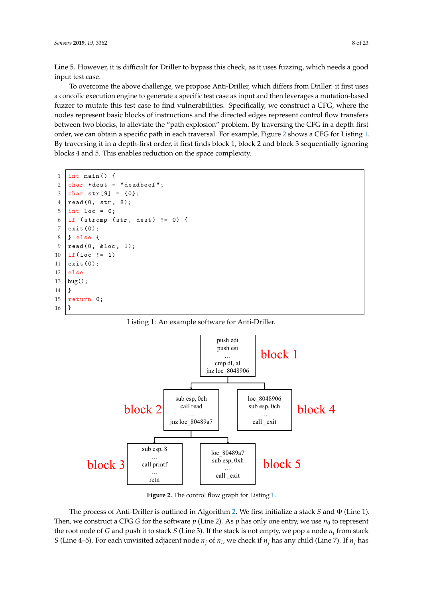Line 5. However, it is difficult for Driller to bypass this check, as it uses fuzzing, which needs a good input test case.

To overcome the above challenge, we propose Anti-Driller, which differs from Driller: it first uses a concolic execution engine to generate a specific test case as input and then leverages a mutation-based fuzzer to mutate this test case to find vulnerabilities. Specifically, we construct a CFG, where the nodes represent basic blocks of instructions and the directed edges represent control flow transfers between two blocks, to alleviate the "path explosion" problem. By traversing the CFG in a depth-first order, we can obtain a specific path in each traversal. For example, Figure [2](#page-7-1) shows a CFG for Listing [1.](#page-7-0) By traversing it in a depth-first order, it first finds block 1, block 2 and block 3 sequentially ignoring blocks 4 and 5. This enables reduction on the space complexity.

```
1 \mid \text{int } \text{main}() \mid2 char * dest = "deadbeef";3 \text{ char str [9]} = \{0\};4 \text{ read } (0, \text{ str}, \text{ 8)};
 5 int loc = 0;
 6 \text{ if } (stromp (str, dest) != 0)7 \vert exit (0);
8 } else {
9 \text{ read } (0, \text{ kloc}, 1);10 \mid \text{if}(\text{loc} \mid = 1)11 \vert exit (0);
12 else
13 \vert bug();
14 }
15 return 0;16 }
```


<span id="page-7-1"></span>

**Figure 2.** The control flow graph for Listing [1.](#page-7-0)

The process of Anti-Driller is outlined in Algorithm [2.](#page-8-1) We first initialize a stack *S* and Φ (Line 1). Then, we construct a CFG *G* for the software  $p$  (Line 2). As  $p$  has only one entry, we use  $n_0$  to represent the root node of *G* and push it to stack *S* (Line 3). If the stack is not empty, we pop a node *n<sup>i</sup>* from stack *S* (Line 4–5). For each unvisited adjacent node  $n_j$  of  $n_i$ , we check if  $n_j$  has any child (Line 7). If  $n_j$  has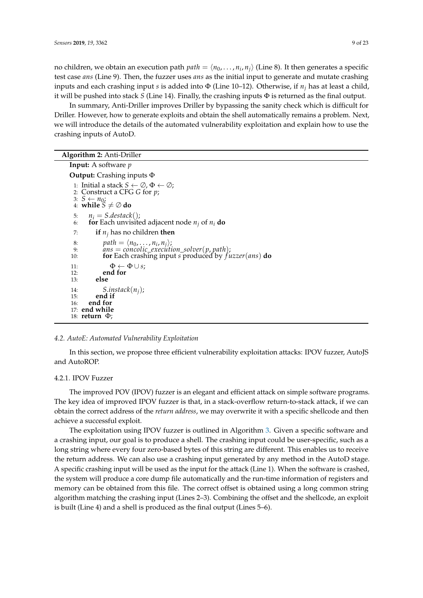no children, we obtain an execution path  $path = \langle n_0, \ldots, n_i, n_j \rangle$  (Line 8). It then generates a specific test case *ans* (Line 9). Then, the fuzzer uses *ans* as the initial input to generate and mutate crashing inputs and each crashing input *s* is added into Φ (Line 10–12). Otherwise, if *n<sup>j</sup>* has at least a child, it will be pushed into stack *S* (Line 14). Finally, the crashing inputs Φ is returned as the final output.

In summary, Anti-Driller improves Driller by bypassing the sanity check which is difficult for Driller. However, how to generate exploits and obtain the shell automatically remains a problem. Next, we will introduce the details of the automated vulnerability exploitation and explain how to use the crashing inputs of AutoD.

<span id="page-8-1"></span>

| <b>Input:</b> A software $p$                                                                                                                                                |
|-----------------------------------------------------------------------------------------------------------------------------------------------------------------------------|
| <b>Output:</b> Crashing inputs $\Phi$                                                                                                                                       |
| 1: Initial a stack $S \leftarrow \emptyset$ , $\Phi \leftarrow \emptyset$ ;<br>2: Construct a CFG $G$ for $p$ ;<br>$3: S \leftarrow n_0;$<br>4: while $S \neq \emptyset$ do |
| $n_i = S.destack();$<br>5:<br><b>for</b> Each unvisited adjacent node $n_i$ of $n_i$ <b>do</b><br>6:                                                                        |
| <b>if</b> $n_i$ has no children <b>then</b><br>7:                                                                                                                           |
| $path = \langle n_0, \ldots, n_i, n_j \rangle;$<br>ans = concolic_execution_solver(p, path);<br>8:<br>9:<br>for Each crashing input s produced by $fuzzer(ans)$ do<br>10:   |
| $\Phi \leftarrow \Phi \cup s$<br>11:                                                                                                                                        |
| end for<br>12:                                                                                                                                                              |
| $13:$ else                                                                                                                                                                  |
| $S.insertack(n_i);$<br>14:                                                                                                                                                  |
| end if<br>15:                                                                                                                                                               |
| $16:$ end for                                                                                                                                                               |
| $17:$ end while                                                                                                                                                             |
| 18: return $\Phi$ ;                                                                                                                                                         |

# <span id="page-8-0"></span>*4.2. AutoE: Automated Vulnerability Exploitation*

In this section, we propose three efficient vulnerability exploitation attacks: IPOV fuzzer, AutoJS and AutoROP.

# 4.2.1. IPOV Fuzzer

The improved POV (IPOV) fuzzer is an elegant and efficient attack on simple software programs. The key idea of improved IPOV fuzzer is that, in a stack-overflow return-to-stack attack, if we can obtain the correct address of the *return address*, we may overwrite it with a specific shellcode and then achieve a successful exploit.

The exploitation using IPOV fuzzer is outlined in Algorithm [3.](#page-9-0) Given a specific software and a crashing input, our goal is to produce a shell. The crashing input could be user-specific, such as a long string where every four zero-based bytes of this string are different. This enables us to receive the return address. We can also use a crashing input generated by any method in the AutoD stage. A specific crashing input will be used as the input for the attack (Line 1). When the software is crashed, the system will produce a core dump file automatically and the run-time information of registers and memory can be obtained from this file. The correct offset is obtained using a long common string algorithm matching the crashing input (Lines 2–3). Combining the offset and the shellcode, an exploit is built (Line 4) and a shell is produced as the final output (Lines 5–6).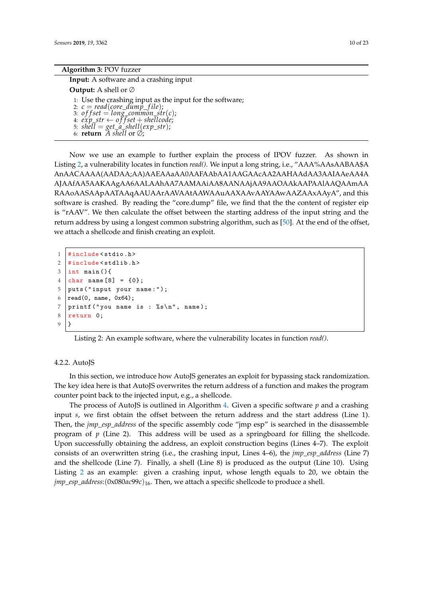#### **Algorithm 3:** POV fuzzer

<span id="page-9-0"></span>**Input:** A software and a crashing input **Output:** A shell or ∅ 1: Use the crashing input as the input for the software; 2: *c* = *read*(*core*\_*dump*\_ *f ile*); 3:  $\textit{offset} = \textit{long\_common\_str}(c)$ ; 4: *exp*\_*str* ← *o f f set* + *shellcode*; 5:  $shell = get\_a\_shell(exp\_str);$ 6: **return**  $\overrightarrow{A}$  *shell* or  $\emptyset$ ;

Now we use an example to further explain the process of IPOV fuzzer. As shown in Listing [2,](#page-9-1) a vulnerability locates in function *read()*. We input a long string, i.e., "AAA%AAsAABAA\$A AnAACAAAA(AADAA;AA)AAEAAaAA0AAFAAbAA1AAGAAcAA2AAHAAdAA3AAIAAeAA4A AJAAfAA5AAKAAgAA6AALAAhAA7AAMAAiAA8AANAAjAA9AAOAAkAAPAAlAAQAAmAA RAAoAASAApAATAAqAAUAArAAVAAtAAWAAuAAXAAvAAYAAwAAZAAxAAyA", and this software is crashed. By reading the "core.dump" file, we find that the the content of register eip is "rAAV". We then calculate the offset between the starting address of the input string and the return address by using a longest common substring algorithm, such as [\[50\]](#page-21-17). At the end of the offset, we attach a shellcode and finish creating an exploit.

```
1 \mid \text{\#include} < stdio.h >
2 \mid \text{\#include} < stdlib.h>
3 \mid \text{int } \text{main}()4 char name [8] = \{0\};5 | puts ("input your name:");
6 \text{ read}(0, \text{ name}, 0x64);7 \mid print(f " you name is : %s \n", name);8 return 0;
9 }
```
Listing 2: An example software, where the vulnerability locates in function *read()*.

# 4.2.2. AutoJS

In this section, we introduce how AutoJS generates an exploit for bypassing stack randomization. The key idea here is that AutoJS overwrites the return address of a function and makes the program counter point back to the injected input, e.g., a shellcode.

The process of AutoJS is outlined in Algorithm [4.](#page-10-0) Given a specific software *p* and a crashing input *s*, we first obtain the offset between the return address and the start address (Line 1). Then, the *jmp\_esp\_address* of the specific assembly code "jmp esp" is searched in the disassemble program of *p* (Line 2). This address will be used as a springboard for filling the shellcode. Upon successfully obtaining the address, an exploit construction begins (Lines 4–7). The exploit consists of an overwritten string (i.e., the crashing input, Lines 4–6), the *jmp\_esp\_address* (Line 7) and the shellcode (Line 7). Finally, a shell (Line 8) is produced as the output (Line 10). Using Listing [2](#page-9-1) as an example: given a crashing input, whose length equals to 20, we obtain the *jmp\_esp\_address*:(0x080*ac*99*c*)16. Then, we attach a specific shellcode to produce a shell.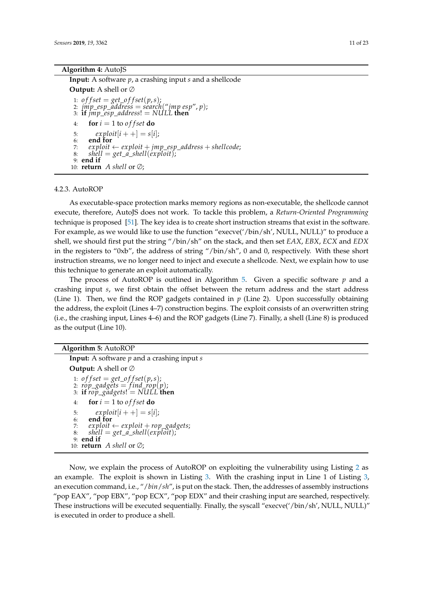#### **Algorithm 4:** AutoJS

<span id="page-10-0"></span>**Input:** A software *p*, a crashing input *s* and a shellcode **Output:** A shell or ∅ 1:  $offset = get\_offset(p, s);$ 2: *jmp*\_*esp*\_*address* = *search*("*jmp esp*", *p*);  $\overline{\text{3: if } \text{imp\_esp\_address!}} = \overline{\text{NULL}}$  then 4: **for**  $i = 1$  to *of f set* **do** 5:  $exploit[i + +] = s[i];$ 6: **end for**  $explot \leftarrow explot + imp~esp~address + shellcode;$ 8:  $shell = get_a\_shell(expl\overline{oit});$ 9: **end if** 10: **return** *A shell* or ∅;

### 4.2.3. AutoROP

As executable-space protection marks memory regions as non-executable, the shellcode cannot execute, therefore, AutoJS does not work. To tackle this problem, a *Return-Oriented Programming* technique is proposed [\[51\]](#page-21-18). The key idea is to create short instruction streams that exist in the software. For example, as we would like to use the function "execve('/bin/sh', NULL, NULL)" to produce a shell, we should first put the string "/bin/sh" on the stack, and then set *EAX*, *EBX*, *ECX* and *EDX* in the registers to "0xb", the address of string "/bin/sh", 0 and 0, respectively. With these short instruction streams, we no longer need to inject and execute a shellcode. Next, we explain how to use this technique to generate an exploit automatically.

The process of AutoROP is outlined in Algorithm [5.](#page-10-1) Given a specific software *p* and a crashing input *s*, we first obtain the offset between the return address and the start address (Line 1). Then, we find the ROP gadgets contained in  $p$  (Line 2). Upon successfully obtaining the address, the exploit (Lines 4–7) construction begins. The exploit consists of an overwritten string (i.e., the crashing input, Lines 4–6) and the ROP gadgets (Line 7). Finally, a shell (Line 8) is produced as the output (Line 10).

<span id="page-10-1"></span>

| Algorithm 5: AutoROP                                                                                                       |
|----------------------------------------------------------------------------------------------------------------------------|
| <b>Input:</b> A software $p$ and a crashing input $s$                                                                      |
| <b>Output:</b> A shell or $\oslash$                                                                                        |
| 1: $offset = get\_offset(p, s)$ ;<br>2: $rop\_gadgets = find\_rop(p)$ ;<br>3: <b>if</b> $rop\_gadgets! = NULL$ <b>then</b> |
| <b>for</b> $i = 1$ to <i>offset</i> <b>do</b><br>4:                                                                        |
| $explot[i + +] = s[i];$<br>5:                                                                                              |
| $6:$ end for                                                                                                               |
| 7:                                                                                                                         |
| $exploit \leftarrow exploit + top_gadgets;$<br>shell = get_a_shell(exploit);<br>8:                                         |
| end if<br>g.                                                                                                               |
| 10: <b>return</b> A shell or $\oslash$ ;                                                                                   |

Now, we explain the process of AutoROP on exploiting the vulnerability using Listing [2](#page-9-1) as an example. The exploit is shown in Listing [3.](#page-11-0) With the crashing input in Line 1 of Listing [3,](#page-11-0) an execution command, i.e., "/*bin*/*sh*", is put on the stack. Then, the addresses of assembly instructions "pop EAX", "pop EBX", "pop ECX", "pop EDX" and their crashing input are searched, respectively. These instructions will be executed sequentially. Finally, the syscall "execve('/bin/sh', NULL, NULL)" is executed in order to produce a shell.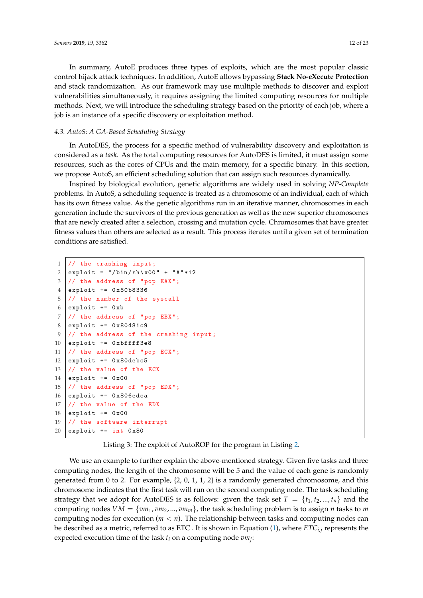In summary, AutoE produces three types of exploits, which are the most popular classic control hijack attack techniques. In addition, AutoE allows bypassing **Stack No-eXecute Protection** and stack randomization. As our framework may use multiple methods to discover and exploit vulnerabilities simultaneously, it requires assigning the limited computing resources for multiple methods. Next, we will introduce the scheduling strategy based on the priority of each job, where a job is an instance of a specific discovery or exploitation method.

# *4.3. AutoS: A GA-Based Scheduling Strategy*

In AutoDES, the process for a specific method of vulnerability discovery and exploitation is considered as a *task*. As the total computing resources for AutoDES is limited, it must assign some resources, such as the cores of CPUs and the main memory, for a specific binary. In this section, we propose AutoS, an efficient scheduling solution that can assign such resources dynamically.

Inspired by biological evolution, genetic algorithms are widely used in solving *NP-Complete* problems. In AutoS, a scheduling sequence is treated as a chromosome of an individual, each of which has its own fitness value. As the genetic algorithms run in an iterative manner, chromosomes in each generation include the survivors of the previous generation as well as the new superior chromosomes that are newly created after a selection, crossing and mutation cycle. Chromosomes that have greater fitness values than others are selected as a result. This process iterates until a given set of termination conditions are satisfied.

```
1 // the crashing input;
2 \exploit = "/bin/sh\x00" + "A"*12
3 // the address of "pop EAX";
4 exploit += 0 x 80 b 83365 // the number of the syscall
6 exploit += 0xb7 \frac{1}{1} the address of "pop EBX";
8 \vert exploit += 0x80481c9
9 \frac{1}{1} the address of the crashing input;
10 \exploit += 0xbffff3e8
11 // the address of "pop ECX";
12 \exploit += 0x80debc5
13 // the value of the ECX
14 exploit += 0x00
15 // the address of "pop EDX";
16 exploit += 0x806edca
17 // the value of the EDX
18 \exploit += 0x00
19 // the software interrupt
20 exploit += int 0x80
```
Listing 3: The exploit of AutoROP for the program in Listing [2.](#page-9-1)

We use an example to further explain the above-mentioned strategy. Given five tasks and three computing nodes, the length of the chromosome will be 5 and the value of each gene is randomly generated from 0 to 2. For example,  $\{2, 0, 1, 1, 2\}$  is a randomly generated chromosome, and this chromosome indicates that the first task will run on the second computing node. The task scheduling strategy that we adopt for AutoDES is as follows: given the task set  $T = \{t_1, t_2, ..., t_n\}$  and the computing nodes  $VM = \{vm_1,vm_2, ...,vm_m\}$ , the task scheduling problem is to assign *n* tasks to *m* computing nodes for execution  $(m < n)$ . The relationship between tasks and computing nodes can be described as a metric, referred to as ETC . It is shown in Equation [\(1\)](#page-12-0), where *ETCi*,*<sup>j</sup>* represents the expected execution time of the task *t<sup>i</sup>* on a computing node *vm<sup>j</sup>* :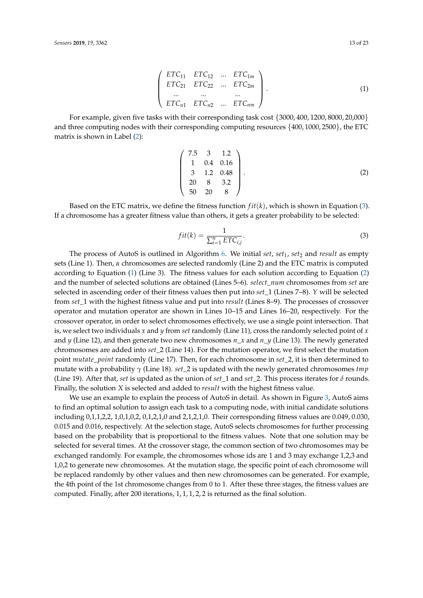<span id="page-12-0"></span>
$$
\begin{pmatrix}\nETC_{11} & ETC_{12} & \dots & ETC_{1m} \\
ETC_{21} & ETC_{22} & \dots & ETC_{2m} \\
\vdots & \vdots & \ddots & \vdots \\
ETC_{n1} & ETC_{n2} & \dots & ETC_{nm}\n\end{pmatrix}.
$$
\n(1)

For example, given five tasks with their corresponding task cost {3000, 400, 1200, 8000, 20,000} and three computing nodes with their corresponding computing resources {400, 1000, 2500}, the ETC matrix is shown in Label [\(2\)](#page-12-1):

<span id="page-12-1"></span>
$$
\begin{pmatrix} 7.5 & 3 & 1.2 \\ 1 & 0.4 & 0.16 \\ 3 & 1.2 & 0.48 \\ 20 & 8 & 3.2 \\ 50 & 20 & 8 \end{pmatrix}.
$$
 (2)

Based on the ETC matrix, we define the fitness function  $fit(k)$ , which is shown in Equation [\(3\)](#page-12-2). If a chromosome has a greater fitness value than others, it gets a greater probability to be selected:

<span id="page-12-2"></span>
$$
fit(k) = \frac{1}{\sum_{i=1}^{n} ETC_{i,j}}.
$$
\n(3)

The process of AutoS is outlined in Algorithm [6.](#page-13-1) We initial *set*, *set*<sub>1</sub>, *set*<sub>2</sub> and *result* as empty sets (Line 1). Then, *α* chromosomes are selected randomly (Line 2) and the ETC matrix is computed according to Equation [\(1\)](#page-12-0) (Line 3). The fitness values for each solution according to Equation [\(2\)](#page-12-1) and the number of selected solutions are obtained (Lines 5–6). *select*\_*num* chromosomes from *set* are selected in ascending order of their fitness values then put into *set*\_1 (Lines 7–8). *Y* will be selected from *set*\_1 with the highest fitness value and put into *result* (Lines 8–9). The processes of crossover operator and mutation operator are shown in Lines 10–15 and Lines 16–20, respectively. For the crossover operator, in order to select chromosomes effectively, we use a single point intersection. That is, we select two individuals *x* and *y* from *set* randomly (Line 11), cross the randomly selected point of *x* and *y* (Line 12), and then generate two new chromosomes *n*\_*x* and *n*\_*y* (Line 13). The newly generated chromosomes are added into *set*\_2 (Line 14). For the mutation operator, we first select the mutation point *mutate*\_*point* randomly (Line 17). Then, for each chromosome in *set*\_2, it is then determined to mutate with a probability *γ* (Line 18). *set*\_2 is updated with the newly generated chromosomes *tmp* (Line 19). After that, *set* is updated as the union of *set*\_1 and *set*\_2. This process iterates for  $\delta$  rounds. Finally, the solution *X* is selected and added to *result* with the highest fitness value.

We use an example to explain the process of AutoS in detail. As shown in Figure [3,](#page-13-2) AutoS aims to find an optimal solution to assign each task to a computing node, with initial candidate solutions including 0,1,1,2,2, 1,0,1,0,2, 0,1,2,1,0 and 2,1,2,1,0. Their corresponding fitness values are 0.049, 0.030, 0.015 and 0.016, respectively. At the selection stage, AutoS selects chromosomes for further processing based on the probability that is proportional to the fitness values. Note that one solution may be selected for several times. At the crossover stage, the common section of two chromosomes may be exchanged randomly. For example, the chromosomes whose ids are 1 and 3 may exchange 1,2,3 and 1,0,2 to generate new chromosomes. At the mutation stage, the specific point of each chromosome will be replaced randomly by other values and then new chromosomes can be generated. For example, the 4th point of the 1st chromosome changes from 0 to 1. After these three stages, the fitness values are computed. Finally, after 200 iterations,  $1, 1, 1, 2, 2$  is returned as the final solution.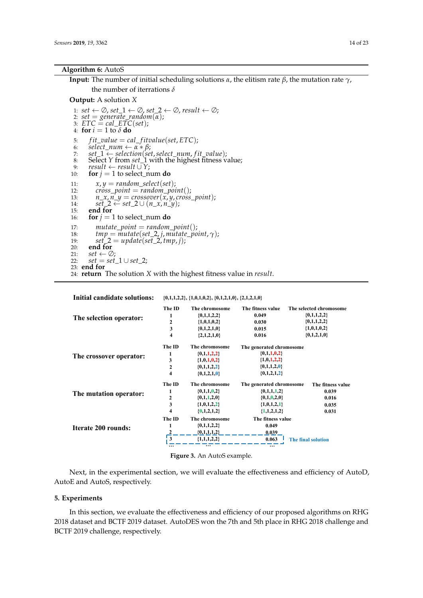#### **Algorithm 6:** AutoS

<span id="page-13-1"></span>**Input:** The number of initial scheduling solutions *α*, the elitism rate *β*, the mutation rate *γ*, the number of iterrations *δ*

**Output:** A solution *X*

1: *set* ← ∅, *set*\_1 ← ∅, *set*\_2 ← ∅, *result* ← ∅; 2: *set* = *generate*\_*random*(*α*);  $3: ETC = cal\_ETC(set);$ 4: **for**  $i = 1$  to  $\delta$  **do** 5:  $fit\_value = cal\_fitvalue(set, ETC)$ ;<br>6: select num  $\leftarrow \alpha * \beta$ : 6: *select*\_*num* ← *α* ∗ *β*; 7: *set*\_1 ← *selection*(*set*,*select*\_*num*, *f it*\_*value*); 8: Select *Y* from *set*\_1 with the highest fitness value; 9:  $result \leftarrow result \cup Y;$ 10: **for**  $j = 1$  to select\_num **do** 11:  $x, y = random\_select(set);$ <br>12:  $cross\_point = random\_pool$ 12:  $\text{cross\_point} = \text{random\_point}();$ <br>13:  $\text{n } x, \text{n } y = \text{crossover}(x, y, \text{cross})$ 13:  $n_x, n_y = \text{crossover}(\overline{x}, y, \text{cross} - \text{point});$ <br>14: set  $2 \leftarrow \text{set } 2 \cup (n_x, n_y).$ 14:  $\frac{set_2}{\leftarrow}$  *set* $\frac{1}{2}$   $\leftarrow$  *set* $\frac{1}{2}$   $\cup$   $(n_x, n_y)$ ; 15: **end for**<br>16: **for**  $i = 7$ for  $j = 1$  to select\_num **do** 17: *mutate*\_*point* = *random*\_*point*(); 18: *tmp* = *mutate*(*set*\_2, *j*, *mutate*\_*point*, *γ*); 19: *set*\_2 = *update*(*set*\_2, *tmp*, *j*); 20: **end for**<br>21:  $set \leftarrow \emptyset$ 21:  $set \leftarrow \emptyset$ <br>22:  $set = set$  $set = set \cup set \ 2;$ 23: **end for** 24: **return** The solution *X* with the highest fitness value in *result*.

<span id="page-13-2"></span>

| Initial candidate solutions: |              | $\{0,1,1,2,2\}, \{1,0,1,0,2\}, \{0,1,2,1,0\}, \{2,1,2,1,0\}$ |                          |                         |
|------------------------------|--------------|--------------------------------------------------------------|--------------------------|-------------------------|
|                              | The ID       | The chromosome                                               | The fitness value        | The selected chromosome |
|                              | 1            | $\{0,1,1,2,2\}$                                              | 0.049                    | $\{0,1,1,2,2\}$         |
| The selection operator:      | 2            | ${1,0,1,0,2}$                                                | 0.030                    | $\{0,1,1,2,2\}$         |
|                              | 3            | $\{0,1,2,1,0\}$                                              | 0.015                    | ${1,0,1,0,2}$           |
|                              | 4            | ${2,1,2,1,0}$                                                | 0.016                    | ${0,1,2,1,0}$           |
|                              | The ID       | The chromosome                                               | The generated chromosome |                         |
|                              | 1            | $\{0,1,1,2,2\}$                                              | $\{0,1,1,0,2\}$          |                         |
| The crossover operator:      | 3            | $\{1,0,1,0,2\}$                                              | ${1,0,1,2,2}$            |                         |
|                              | $\mathbf{2}$ | $\{0,1,1,2,2\}$                                              | $\{0,1,1,2,0\}$          |                         |
|                              | 4            | $\{0,1,2,1,0\}$                                              | $\{0,1,2,1,2\}$          |                         |
|                              | The ID       | The chromosome                                               | The generated chromosome | The fitness value       |
| The mutation operator:       | 1            | $\{0,1,1,0,2\}$                                              | $\{0,1,1,1,2\}$          | 0.039                   |
|                              | 2            | $\{0,1,1,2,0\}$                                              | $\{0,1,0,2,0\}$          | 0.016                   |
|                              | 3            | ${1,0,1,2,2}$                                                | ${1,0,1,2,1}$            | 0.035                   |
|                              | 4            | $\{0,1,2,1,2\}$                                              | ${1,1,2,1,2}$            | 0.031                   |
|                              | The ID       | The chromosome                                               | The fitness value        |                         |
| <b>Iterate 200 rounds:</b>   | 1            | $\{0,1,1,2,2\}$                                              | 0.049                    |                         |
|                              |              | $\{0,1,1,1,2\}$                                              | 0.039                    |                         |
|                              | 3            | ${1,1,1,2,2}$                                                | 0.063                    | The final solution      |
|                              |              |                                                              |                          |                         |

**Figure 3.** An AutoS example.

Next, in the experimental section, we will evaluate the effectiveness and efficiency of AutoD, AutoE and AutoS, respectively.

# <span id="page-13-0"></span>**5. Experiments**

In this section, we evaluate the effectiveness and efficiency of our proposed algorithms on RHG 2018 dataset and BCTF 2019 dataset. AutoDES won the 7th and 5th place in RHG 2018 challenge and BCTF 2019 challenge, respectively.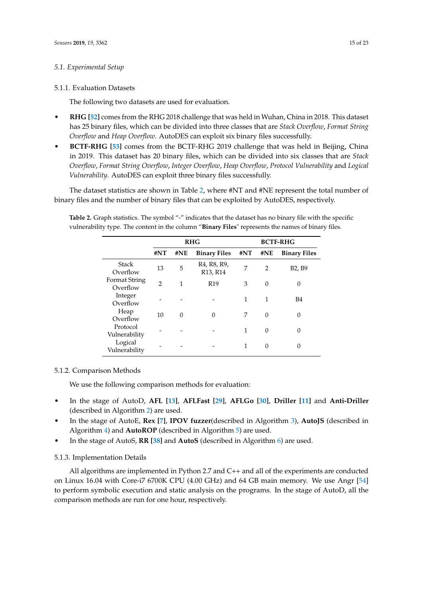# *5.1. Experimental Setup*

# 5.1.1. Evaluation Datasets

The following two datasets are used for evaluation.

- **RHG [\[52\]](#page-21-19)** comes from the RHG 2018 challenge that was held in Wuhan, China in 2018. This dataset has 25 binary files, which can be divided into three classes that are *Stack Overflow*, *Format String Overflow* and *Heap Overflow*. AutoDES can exploit six binary files successfully.
- **BCTF-RHG [\[53\]](#page-21-20)** comes from the BCTF-RHG 2019 challenge that was held in Beijing, China in 2019. This dataset has 20 binary files, which can be divided into six classes that are *Stack Overflow*, *Format String Overflow*, *Integer Overflow*, *Heap Overflow*, *Protocol Vulnerability* and *Logical Vulnerability*. AutoDES can exploit three binary files successfully.

The dataset statistics are shown in Table [2,](#page-14-0) where #NT and #NE represent the total number of binary files and the number of binary files that can be exploited by AutoDES, respectively.

<span id="page-14-0"></span>Table 2. Graph statistics. The symbol "-" indicates that the dataset has no binary file with the specific vulnerability type. The content in the column "**Binary Files**" represents the names of binary files.

|                           |                |              | <b>RHG</b>                                       | <b>BCTF-RHG</b> |                |                                 |  |
|---------------------------|----------------|--------------|--------------------------------------------------|-----------------|----------------|---------------------------------|--|
|                           | #NT            | #NE          | <b>Binary Files</b>                              | #NT             | #NE            | <b>Binary Files</b>             |  |
| <b>Stack</b><br>Overflow  | 13             | 5            | R4, R8, R9,<br>R <sub>13</sub> , R <sub>14</sub> | 7               | $\overline{2}$ | B <sub>2</sub> , B <sub>9</sub> |  |
| Format String<br>Overflow | $\mathfrak{D}$ | $\mathbf{1}$ | R <sub>19</sub>                                  | 3               | $\theta$       | $\Omega$                        |  |
| Integer<br>Overflow       |                |              |                                                  | 1               | 1              | B4                              |  |
| Heap<br>Overflow          | 10             | $\Omega$     | $\Omega$                                         | 7               | $\theta$       | 0                               |  |
| Protocol<br>Vulnerability |                |              |                                                  | 1               | $\Omega$       | 0                               |  |
| Logical<br>Vulnerability  |                |              |                                                  |                 | $\Omega$       | 0                               |  |

# 5.1.2. Comparison Methods

We use the following comparison methods for evaluation:

- In the stage of AutoD, **AFL [\[13\]](#page-20-2)**, **AFLFast [\[29\]](#page-20-16)**, **AFLGo [\[30\]](#page-20-17)**, **Driller [\[11\]](#page-20-0)** and **Anti-Driller** (described in Algorithm [2\)](#page-8-1) are used.
- In the stage of AutoE, **Rex [\[7\]](#page-19-5)**, **IPOV fuzzer**(described in Algorithm [3\)](#page-9-0), **AutoJS** (described in Algorithm [4\)](#page-10-0) and **AutoROP** (described in Algorithm [5\)](#page-10-1) are used.
- In the stage of AutoS, **RR [\[38\]](#page-21-5)** and **AutoS** (described in Algorithm [6\)](#page-13-1) are used.

# 5.1.3. Implementation Details

All algorithms are implemented in Python 2.7 and C++ and all of the experiments are conducted on Linux 16.04 with Core-i7 6700K CPU (4.00 GHz) and 64 GB main memory. We use Angr [\[54\]](#page-21-21) to perform symbolic execution and static analysis on the programs. In the stage of AutoD, all the comparison methods are run for one hour, respectively.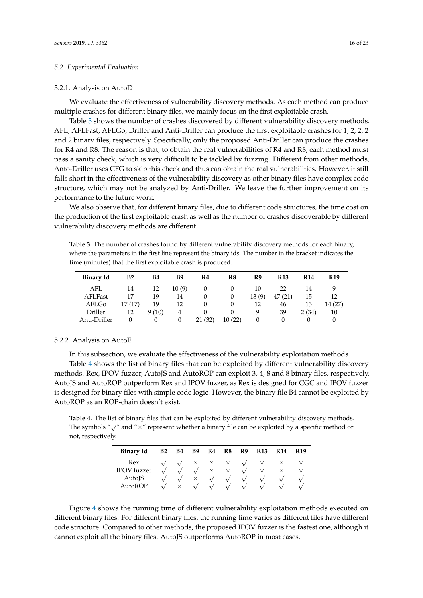# *5.2. Experimental Evaluation*

## 5.2.1. Analysis on AutoD

We evaluate the effectiveness of vulnerability discovery methods. As each method can produce multiple crashes for different binary files, we mainly focus on the first exploitable crash.

Table [3](#page-15-0) shows the number of crashes discovered by different vulnerability discovery methods. AFL, AFLFast, AFLGo, Driller and Anti-Driller can produce the first exploitable crashes for 1, 2, 2, 2 and 2 binary files, respectively. Specifically, only the proposed Anti-Driller can produce the crashes for R4 and R8. The reason is that, to obtain the real vulnerabilities of R4 and R8, each method must pass a sanity check, which is very difficult to be tackled by fuzzing. Different from other methods, Anto-Driller uses CFG to skip this check and thus can obtain the real vulnerabilities. However, it still falls short in the effectiveness of the vulnerability discovery as other binary files have complex code structure, which may not be analyzed by Anti-Driller. We leave the further improvement on its performance to the future work.

We also observe that, for different binary files, due to different code structures, the time cost on the production of the first exploitable crash as well as the number of crashes discoverable by different vulnerability discovery methods are different.

<span id="page-15-0"></span>**Table 3.** The number of crashes found by different vulnerability discovery methods for each binary, where the parameters in the first line represent the binary ids. The number in the bracket indicates the time (minutes) that the first exploitable crash is produced.

| Binary Id      | B2      | B4       | B9    | R4     | R8       | R9    | <b>R13</b> | <b>R14</b> | <b>R19</b> |
|----------------|---------|----------|-------|--------|----------|-------|------------|------------|------------|
| AFL            | 14      | 12       | 10(9) |        |          | 10    | 22         | 14         |            |
| AFLFast        | 17      | 19       | 14    |        | 0        | 13(9) | 47(21)     | 15         | 12         |
| AFLGo          | 17 (17) | 19       | 12    |        | $\theta$ | 12    | 46         | 13         | 14 (27)    |
| <b>Driller</b> | 12      | 9(10)    | 4     |        |          | 9     | 39         | 2(34)      | 10         |
| Anti-Driller   |         | $\Omega$ |       | 21(32) | 10(22)   | 0     | $\theta$   | $\cup$     |            |

#### 5.2.2. Analysis on AutoE

In this subsection, we evaluate the effectiveness of the vulnerability exploitation methods.

Table [4](#page-15-1) shows the list of binary files that can be exploited by different vulnerability discovery methods. Rex, IPOV fuzzer, AutoJS and AutoROP can exploit 3, 4, 8 and 8 binary files, respectively. AutoJS and AutoROP outperform Rex and IPOV fuzzer, as Rex is designed for CGC and IPOV fuzzer is designed for binary files with simple code logic. However, the binary file B4 cannot be exploited by AutoROP as an ROP-chain doesn't exist.

<span id="page-15-1"></span>**Table 4.** The list of binary files that can be exploited by different vulnerability discovery methods. The symbols "√" and "×" represent whether a binary file can be exploited by a specific method or not, respectively.

| <b>Binary Id</b>   | <b>B2</b> | <b>B4</b>  | <b>B</b> 9 | R4       | R8       | R9 | <b>R13</b> | R14 | <b>R19</b> |
|--------------------|-----------|------------|------------|----------|----------|----|------------|-----|------------|
| Rex                |           | $\sqrt{ }$ | $\times$   | $\times$ | $\times$ |    | ×          |     |            |
| <b>IPOV</b> fuzzer |           |            |            | $\times$ | $\times$ |    |            |     |            |
| AutoJS             |           |            | $\times$   |          |          |    |            |     |            |
| AutoROP            |           |            |            |          |          |    |            |     |            |

Figure [4](#page-16-0) shows the running time of different vulnerability exploitation methods executed on different binary files. For different binary files, the running time varies as different files have different code structure. Compared to other methods, the proposed IPOV fuzzer is the fastest one, although it cannot exploit all the binary files. AutoJS outperforms AutoROP in most cases.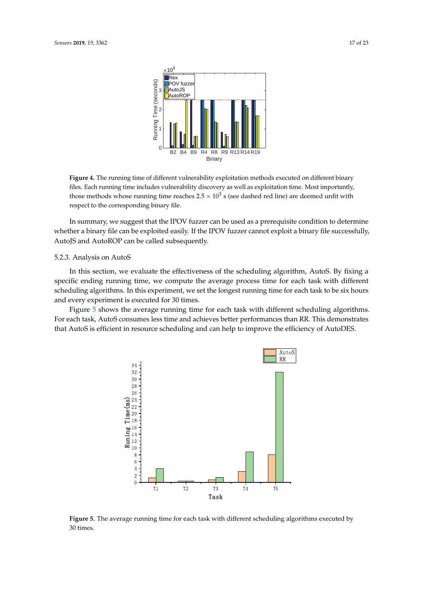<span id="page-16-0"></span>

**Figure 4.** The running time of different vulnerability exploitation methods executed on different binary files. Each running time includes vulnerability discovery as well as exploitation time. Most importantly, those methods whose running time reaches 2.5  $\times$  10<sup>3</sup> s (see dashed red line) are deemed unfit with respect to the corresponding binary file.

In summary, we suggest that the IPOV fuzzer can be used as a prerequisite condition to determine whether a binary file can be exploited easily. If the IPOV fuzzer cannot exploit a binary file successfully, AutoJS and AutoROP can be called subsequently.

## 5.2.3. Analysis on AutoS

In this section, we evaluate the effectiveness of the scheduling algorithm, AutoS. By fixing a specific ending running time, we compute the average process time for each task with different scheduling algorithms. In this experiment, we set the longest running time for each task to be six hours and every experiment is executed for 30 times.

<span id="page-16-1"></span>Figure [5](#page-16-1) shows the average running time for each task with different scheduling algorithms. For each task, AutoS consumes less time and achieves better performances than RR. This demonstrates that AutoS is efficient in resource scheduling and can help to improve the efficiency of AutoDES.



**Figure 5.** The average running time for each task with different scheduling algorithms executed by 30 times.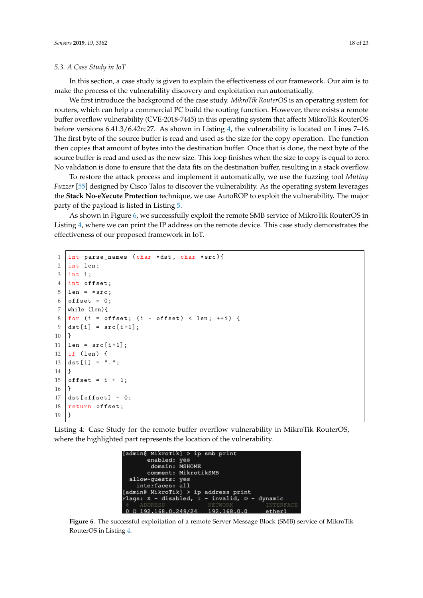#### <span id="page-17-0"></span>*5.3. A Case Study in IoT*

In this section, a case study is given to explain the effectiveness of our framework. Our aim is to make the process of the vulnerability discovery and exploitation run automatically.

We first introduce the background of the case study. *MikroTik RouterOS* is an operating system for routers, which can help a commercial PC build the routing function. However, there exists a remote buffer overflow vulnerability (CVE-2018-7445) in this operating system that affects MikroTik RouterOS before versions 6.41.3/6.42rc27. As shown in Listing [4,](#page-17-1) the vulnerability is located on Lines 7–16. The first byte of the source buffer is read and used as the size for the copy operation. The function then copies that amount of bytes into the destination buffer. Once that is done, the next byte of the source buffer is read and used as the new size. This loop finishes when the size to copy is equal to zero. No validation is done to ensure that the data fits on the destination buffer, resulting in a stack overflow.

To restore the attack process and implement it automatically, we use the fuzzing tool *Mutiny Fuzzer* [\[55\]](#page-22-0) designed by Cisco Talos to discover the vulnerability. As the operating system leverages the **Stack No-eXecute Protection** technique, we use AutoROP to exploit the vulnerability. The major party of the payload is listed in Listing [5.](#page-18-0)

As shown in Figure [6,](#page-17-2) we successfully exploit the remote SMB service of MikroTik RouterOS in Listing [4,](#page-17-1) where we can print the IP address on the remote device. This case study demonstrates the effectiveness of our proposed framework in IoT.

```
1 int parse_names (char * dst, char * src){
2 int len;
3 int i;
4 int offset;
5 len = *src;
6 offset = 0;
7 \text{ while } (len)8 \mid for (i = offset; (i - offset) < len; ++i) {
9 \mid \text{dst}[i] = \text{src}[i+1];10 \mid \}11 | len = src[i+1];
12 if (len) {
13 \mid \text{dst[i]} = "."14 | }
15 offset = i + 1;
16 | }
17 dst [offset] = 0;
18 return offset;
19 | }
```
<span id="page-17-2"></span>Listing 4: Case Study for the remote buffer overflow vulnerability in MikroTik RouterOS, where the highlighted part represents the location of the vulnerability.

```
[admin@ MikroTik] > ip smb print
      enabled: yes
       domain: MSHOME
      comment: MikrotikSMB
 allow-guests: yes
   interfaces: all
[admin@ MikroTik] > ip address print
'lags: X - disabled, I - invalid, D - dynamic
  D 192.168.0.249/24 192.168.0.0
                                        ether1
```
**Figure 6.** The successful exploitation of a remote Server Message Block (SMB) service of MikroTik RouterOS in Listing [4.](#page-17-1)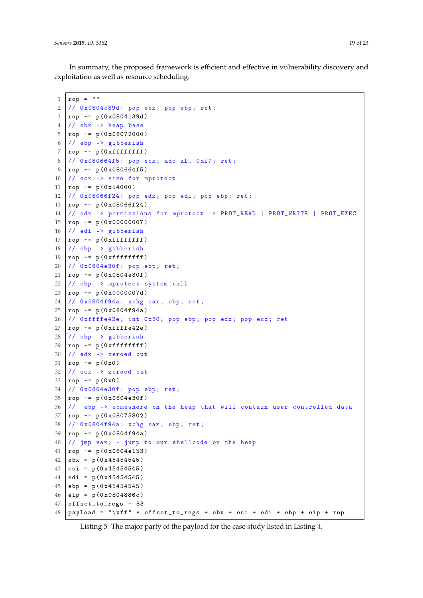*Sensors* **2019**, 19, 3362 19 of 23

In summary, the proposed framework is efficient and effective in vulnerability discovery and exploitation as well as resource scheduling.

```
1 \mid \text{rop} = ""
2 \frac{1}{10} 0x0804c39d: pop ebx; pop ebp; ret;
3 |rop += p(0x0804c39d)4 // ebx -> heap base
5 \mid \text{rop} \mid = \text{p} (0 \times 08072000)6 // ebp -> gibberish
7 \mid \text{rop} \mid = p(0 \text{xfffffff})8 // 0x080664f5: pop ecx; adc al, 0xf7; ret;
9 \mid \text{rop} += p(0 \times 080664f5)10 // ecx -> size for mprotect
11 | \texttt{rop} += \texttt{p} (0 x 14000)
12 // 0 x08066f24 : pop edx; pop edi; pop ebp; ret;
13 rop + = p(0x08066f24)14 // edx -> permissions for mprotect -> PROT_READ | PROT_WRITE | PROT_EXEC
15 \mid \text{rop} += p(0 \times 00000007)16 \frac{1}{6} // edi -> gibberish
17 \vert rop += p(0xfffffffff)
18 \frac{\ }{\ } // ebp -> gibberish
19 \vert rop += p(0xfffffffff)
20 // 0 x0804e30f : pop ebp; ret;
21 \vert rop += p(0x0804e30f)
22 // ebp -> mprotect system call
23 rop + = p(0x0000007d)24 // 0 x0804f94a : xchg eax , ebp; ret;
25 \vert rop += p(0x0804f94a)
26 // 0 xffffe42e ; int 0x80; pop ebp; pop edx; pop ecx; ret
27 rop = p(0xffffe42e)28 // ebp -> gibberish
29 \vert rop += p(0xfffffffff)
30 // edx -> zeroed out
31 \vert \text{rop} += p(0x0)32 // ecx -> zeroed out
33 rop + = p(0x0)34 // 0 x0804e30f : pop ebp; ret;
35 rop += p(0x0804e30f)36 // ebp -> somewhere on the heap that will contain user controlled data
37 |rop += p (0 x08075802)38 // 0 x0804f94a : xchg eax , ebp; ret;
39 rop = p(0x0804f94a)40 // jmp eax; - jump to our shellcode on the heap
41 \vert rop += p(0 \times 0804e153)42 \text{ |}ebx = p(0x45454545)
43 esi = p(0 \times 45454545)44 edi = p(0x45454545)45 ebp = p(0 \times 45454545)46 eip = p(0x0804886c)47 offset_to_regs = 83
48 payload = "\xiff" * offset_to_regs + ebx + esi + edi + ebp + eip + rop
```
Listing 5: The major party of the payload for the case study listed in Listing [4.](#page-17-1)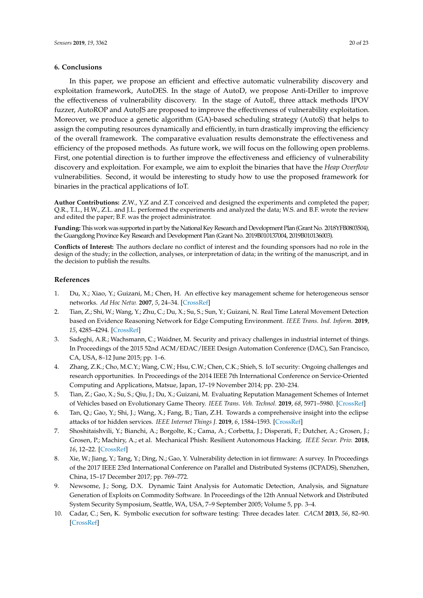# <span id="page-19-9"></span>**6. Conclusions**

In this paper, we propose an efficient and effective automatic vulnerability discovery and exploitation framework, AutoDES. In the stage of AutoD, we propose Anti-Driller to improve the effectiveness of vulnerability discovery. In the stage of AutoE, three attack methods IPOV fuzzer, AutoROP and AutoJS are proposed to improve the effectiveness of vulnerability exploitation. Moreover, we produce a genetic algorithm (GA)-based scheduling strategy (AutoS) that helps to assign the computing resources dynamically and efficiently, in turn drastically improving the efficiency of the overall framework. The comparative evaluation results demonstrate the effectiveness and efficiency of the proposed methods. As future work, we will focus on the following open problems. First, one potential direction is to further improve the effectiveness and efficiency of vulnerability discovery and exploitation. For example, we aim to exploit the binaries that have the *Heap Overflow* vulnerabilities. Second, it would be interesting to study how to use the proposed framework for binaries in the practical applications of IoT.

**Author Contributions:** Z.W., Y.Z and Z.T conceived and designed the experiments and completed the paper; Q.R., T.L., H.W., Z.L. and J.L. performed the experiments and analyzed the data; W.S. and B.F. wrote the review and edited the paper; B.F. was the project administrator.

**Funding:** This work was supportedin part by the National Key Research and Development Plan (Grant No. 2018YFB0803504), the Guangdong Province Key Research and Development Plan (Grant No. 2019B010137004, 2019B010136003).

**Conflicts of Interest:** The authors declare no conflict of interest and the founding sponsors had no role in the design of the study; in the collection, analyses, or interpretation of data; in the writing of the manuscript, and in the decision to publish the results.

# **References**

- <span id="page-19-0"></span>1. Du, X.; Xiao, Y.; Guizani, M.; Chen, H. An effective key management scheme for heterogeneous sensor networks. *Ad Hoc Netw.* **2007**, *5*, 24–34. [\[CrossRef\]](http://dx.doi.org/10.1016/j.adhoc.2006.05.012)
- <span id="page-19-10"></span>2. Tian, Z.; Shi, W.; Wang, Y.; Zhu, C.; Du, X.; Su, S.; Sun, Y.; Guizani, N. Real Time Lateral Movement Detection based on Evidence Reasoning Network for Edge Computing Environment. *IEEE Trans. Ind. Inform.* **2019**, *15*, 4285–4294. [\[CrossRef\]](http://dx.doi.org/10.1109/TII.2019.2907754)
- <span id="page-19-1"></span>3. Sadeghi, A.R.; Wachsmann, C.; Waidner, M. Security and privacy challenges in industrial internet of things. In Proceedings of the 2015 52nd ACM/EDAC/IEEE Design Automation Conference (DAC), San Francisco, CA, USA, 8–12 June 2015; pp. 1–6.
- <span id="page-19-2"></span>4. Zhang, Z.K.; Cho, M.C.Y.; Wang, C.W.; Hsu, C.W.; Chen, C.K.; Shieh, S. IoT security: Ongoing challenges and research opportunities. In Proceedings of the 2014 IEEE 7th International Conference on Service-Oriented Computing and Applications, Matsue, Japan, 17–19 November 2014; pp. 230–234.
- <span id="page-19-3"></span>5. Tian, Z.; Gao, X.; Su, S.; Qiu, J.; Du, X.; Guizani, M. Evaluating Reputation Management Schemes of Internet of Vehicles based on Evolutionary Game Theory. *IEEE Trans. Veh. Technol.* **2019**, *68*, 5971–5980. [\[CrossRef\]](http://dx.doi.org/10.1109/TVT.2019.2910217)
- <span id="page-19-4"></span>6. Tan, Q.; Gao, Y.; Shi, J.; Wang, X.; Fang, B.; Tian, Z.H. Towards a comprehensive insight into the eclipse attacks of tor hidden services. *IEEE Internet Things J.* **2019**, *6*, 1584–1593. [\[CrossRef\]](http://dx.doi.org/10.1109/JIOT.2018.2846624)
- <span id="page-19-5"></span>7. Shoshitaishvili, Y.; Bianchi, A.; Borgolte, K.; Cama, A.; Corbetta, J.; Disperati, F.; Dutcher, A.; Grosen, J.; Grosen, P.; Machiry, A.; et al. Mechanical Phish: Resilient Autonomous Hacking. *IEEE Secur. Priv.* **2018**, *16*, 12–22. [\[CrossRef\]](http://dx.doi.org/10.1109/MSP.2018.1870858)
- <span id="page-19-6"></span>8. Xie, W.; Jiang, Y.; Tang, Y.; Ding, N.; Gao, Y. Vulnerability detection in iot firmware: A survey. In Proceedings of the 2017 IEEE 23rd International Conference on Parallel and Distributed Systems (ICPADS), Shenzhen, China, 15–17 December 2017; pp. 769–772.
- <span id="page-19-7"></span>9. Newsome, J.; Song, D.X. Dynamic Taint Analysis for Automatic Detection, Analysis, and Signature Generation of Exploits on Commodity Software. In Proceedings of the 12th Annual Network and Distributed System Security Symposium, Seattle, WA, USA, 7–9 September 2005; Volume 5, pp. 3–4.
- <span id="page-19-8"></span>10. Cadar, C.; Sen, K. Symbolic execution for software testing: Three decades later. *CACM* **2013**, *56*, 82–90. [\[CrossRef\]](http://dx.doi.org/10.1145/2408776.2408795)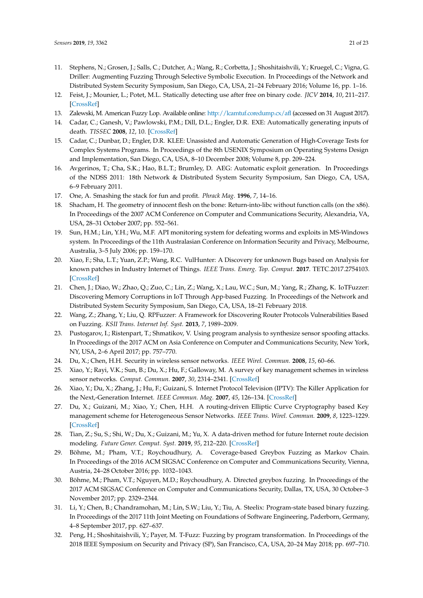- <span id="page-20-0"></span>11. Stephens, N.; Grosen, J.; Salls, C.; Dutcher, A.; Wang, R.; Corbetta, J.; Shoshitaishvili, Y.; Kruegel, C.; Vigna, G. Driller: Augmenting Fuzzing Through Selective Symbolic Execution. In Proceedings of the Network and Distributed System Security Symposium, San Diego, CA, USA, 21–24 February 2016; Volume 16, pp. 1–16.
- <span id="page-20-1"></span>12. Feist, J.; Mounier, L.; Potet, M.L. Statically detecting use after free on binary code. *JICV* **2014**, *10*, 211–217. [\[CrossRef\]](http://dx.doi.org/10.1007/s11416-014-0203-1)
- <span id="page-20-2"></span>13. Zalewski, M. American Fuzzy Lop. Available online: <http://lcamtuf.coredump.cx/afl> (accessed on 31 August 2017).
- <span id="page-20-3"></span>14. Cadar, C.; Ganesh, V.; Pawlowski, P.M.; Dill, D.L.; Engler, D.R. EXE: Automatically generating inputs of death. *TISSEC* **2008**, *12*, 10. [\[CrossRef\]](http://dx.doi.org/10.1145/1455518.1455522)
- <span id="page-20-4"></span>15. Cadar, C.; Dunbar, D.; Engler, D.R. KLEE: Unassisted and Automatic Generation of High-Coverage Tests for Complex Systems Programs. In Proceedings of the 8th USENIX Symposium on Operating Systems Design and Implementation, San Diego, CA, USA, 8–10 December 2008; Volume 8, pp. 209–224.
- <span id="page-20-5"></span>16. Avgerinos, T.; Cha, S.K.; Hao, B.L.T.; Brumley, D. AEG: Automatic exploit generation. In Proceedings of the NDSS 2011: 18th Network & Distributed System Security Symposium, San Diego, CA, USA, 6–9 February 2011.
- <span id="page-20-6"></span>17. One, A. Smashing the stack for fun and profit. *Phrack Mag.* **1996**, *7*, 14–16.
- <span id="page-20-7"></span>18. Shacham, H. The geometry of innocent flesh on the bone: Return-into-libc without function calls (on the x86). In Proceedings of the 2007 ACM Conference on Computer and Communications Security, Alexandria, VA, USA, 28–31 October 2007; pp. 552–561.
- <span id="page-20-8"></span>19. Sun, H.M.; Lin, Y.H.; Wu, M.F. API monitoring system for defeating worms and exploits in MS-Windows system. In Proceedings of the 11th Australasian Conference on Information Security and Privacy, Melbourne, Australia, 3–5 July 2006; pp. 159–170.
- <span id="page-20-9"></span>20. Xiao, F.; Sha, L.T.; Yuan, Z.P.; Wang, R.C. VulHunter: A Discovery for unknown Bugs based on Analysis for known patches in Industry Internet of Things. *IEEE Trans. Emerg. Top. Comput.* **2017**. TETC.2017.2754103. [\[CrossRef\]](http://dx.doi.org/10.1109/TETC.2017.2754103)
- <span id="page-20-10"></span>21. Chen, J.; Diao, W.; Zhao, Q.; Zuo, C.; Lin, Z.; Wang, X.; Lau, W.C.; Sun, M.; Yang, R.; Zhang, K. IoTFuzzer: Discovering Memory Corruptions in IoT Through App-based Fuzzing. In Proceedings of the Network and Distributed System Security Symposium, San Diego, CA, USA, 18–21 February 2018.
- <span id="page-20-11"></span>22. Wang, Z.; Zhang, Y.; Liu, Q. RPFuzzer: A Framework for Discovering Router Protocols Vulnerabilities Based on Fuzzing. *KSII Trans. Internet Inf. Syst.* **2013**, *7*, 1989–2009.
- <span id="page-20-12"></span>23. Pustogarov, I.; Ristenpart, T.; Shmatikov, V. Using program analysis to synthesize sensor spoofing attacks. In Proceedings of the 2017 ACM on Asia Conference on Computer and Communications Security, New York, NY, USA, 2–6 April 2017; pp. 757–770.
- <span id="page-20-13"></span>24. Du, X.; Chen, H.H. Security in wireless sensor networks. *IEEE Wirel. Commun.* **2008**, *15*, 60–66.
- 25. Xiao, Y.; Rayi, V.K.; Sun, B.; Du, X.; Hu, F.; Galloway, M. A survey of key management schemes in wireless sensor networks. *Comput. Commun.* **2007**, *30*, 2314–2341. [\[CrossRef\]](http://dx.doi.org/10.1016/j.comcom.2007.04.009)
- 26. Xiao, Y.; Du, X.; Zhang, J.; Hu, F.; Guizani, S. Internet Protocol Television (IPTV): The Killer Application for the Next,-Generation Internet. *IEEE Commun. Mag.* **2007**, *45*, 126–134. [\[CrossRef\]](http://dx.doi.org/10.1109/MCOM.2007.4378332)
- <span id="page-20-14"></span>27. Du, X.; Guizani, M.; Xiao, Y.; Chen, H.H. A routing-driven Elliptic Curve Cryptography based Key management scheme for Heterogeneous Sensor Networks. *IEEE Trans. Wirel. Commun.* **2009**, *8*, 1223–1229. [\[CrossRef\]](http://dx.doi.org/10.1109/TWC.2009.060598)
- <span id="page-20-15"></span>28. Tian, Z.; Su, S.; Shi, W.; Du, X.; Guizani, M.; Yu, X. A data-driven method for future Internet route decision modeling. *Future Gener. Comput. Syst.* **2019**, *95*, 212–220. [\[CrossRef\]](http://dx.doi.org/10.1016/j.future.2018.12.054)
- <span id="page-20-16"></span>29. Böhme, M.; Pham, V.T.; Roychoudhury, A. Coverage-based Greybox Fuzzing as Markov Chain. In Proceedings of the 2016 ACM SIGSAC Conference on Computer and Communications Security, Vienna, Austria, 24–28 October 2016; pp. 1032–1043.
- <span id="page-20-17"></span>30. Böhme, M.; Pham, V.T.; Nguyen, M.D.; Roychoudhury, A. Directed greybox fuzzing. In Proceedings of the 2017 ACM SIGSAC Conference on Computer and Communications Security, Dallas, TX, USA, 30 October–3 November 2017; pp. 2329–2344.
- <span id="page-20-18"></span>31. Li, Y.; Chen, B.; Chandramohan, M.; Lin, S.W.; Liu, Y.; Tiu, A. Steelix: Program-state based binary fuzzing. In Proceedings of the 2017 11th Joint Meeting on Foundations of Software Engineering, Paderborn, Germany, 4–8 September 2017, pp. 627–637.
- <span id="page-20-19"></span>32. Peng, H.; Shoshitaishvili, Y.; Payer, M. T-Fuzz: Fuzzing by program transformation. In Proceedings of the 2018 IEEE Symposium on Security and Privacy (SP), San Francisco, CA, USA, 20–24 May 2018; pp. 697–710.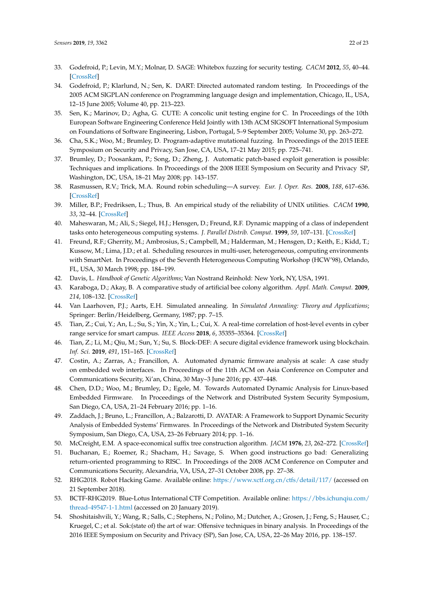- <span id="page-21-0"></span>33. Godefroid, P.; Levin, M.Y.; Molnar, D. SAGE: Whitebox fuzzing for security testing. *CACM* **2012**, *55*, 40–44. [\[CrossRef\]](http://dx.doi.org/10.1145/2093548.2093564)
- <span id="page-21-1"></span>34. Godefroid, P.; Klarlund, N.; Sen, K. DART: Directed automated random testing. In Proceedings of the 2005 ACM SIGPLAN conference on Programming language design and implementation, Chicago, IL, USA, 12–15 June 2005; Volume 40, pp. 213–223.
- <span id="page-21-2"></span>35. Sen, K.; Marinov, D.; Agha, G. CUTE: A concolic unit testing engine for C. In Proceedings of the 10th European Software Engineering Conference Held Jointly with 13th ACM SIGSOFT International Symposium on Foundations of Software Engineering, Lisbon, Portugal, 5–9 September 2005; Volume 30, pp. 263–272.
- <span id="page-21-3"></span>36. Cha, S.K.; Woo, M.; Brumley, D. Program-adaptive mutational fuzzing. In Proceedings of the 2015 IEEE Symposium on Security and Privacy, San Jose, CA, USA, 17–21 May 2015; pp. 725–741.
- <span id="page-21-4"></span>37. Brumley, D.; Poosankam, P.; Song, D.; Zheng, J. Automatic patch-based exploit generation is possible: Techniques and implications. In Proceedings of the 2008 IEEE Symposium on Security and Privacy SP, Washington, DC, USA, 18–21 May 2008; pp. 143–157.
- <span id="page-21-5"></span>38. Rasmussen, R.V.; Trick, M.A. Round robin scheduling—A survey. *Eur. J. Oper. Res.* **2008**, *188*, 617–636. [\[CrossRef\]](http://dx.doi.org/10.1016/j.ejor.2007.05.046)
- <span id="page-21-6"></span>39. Miller, B.P.; Fredriksen, L.; Thus, B. An empirical study of the reliability of UNIX utilities. *CACM* **1990**, *33*, 32–44. [\[CrossRef\]](http://dx.doi.org/10.1145/96267.96279)
- <span id="page-21-7"></span>40. Maheswaran, M.; Ali, S.; Siegel, H.J.; Hensgen, D.; Freund, R.F. Dynamic mapping of a class of independent tasks onto heterogeneous computing systems. *J. Parallel Distrib. Comput.* **1999**, *59*, 107–131. [\[CrossRef\]](http://dx.doi.org/10.1006/jpdc.1999.1581)
- <span id="page-21-8"></span>41. Freund, R.F.; Gherrity, M.; Ambrosius, S.; Campbell, M.; Halderman, M.; Hensgen, D.; Keith, E.; Kidd, T.; Kussow, M.; Lima, J.D.; et al. Scheduling resources in multi-user, heterogeneous, computing environments with SmartNet. In Proceedings of the Seventh Heterogeneous Computing Workshop (HCW'98), Orlando, FL, USA, 30 March 1998; pp. 184–199.
- <span id="page-21-9"></span>42. Davis, L. *Handbook of Genetic Algorithms*; Van Nostrand Reinhold: New York, NY, USA, 1991.
- <span id="page-21-10"></span>43. Karaboga, D.; Akay, B. A comparative study of artificial bee colony algorithm. *Appl. Math. Comput.* **2009**, *214*, 108–132. [\[CrossRef\]](http://dx.doi.org/10.1016/j.amc.2009.03.090)
- <span id="page-21-11"></span>44. Van Laarhoven, P.J.; Aarts, E.H. Simulated annealing. In *Simulated Annealing: Theory and Applications*; Springer: Berlin/Heidelberg, Germany, 1987; pp. 7–15.
- <span id="page-21-12"></span>45. Tian, Z.; Cui, Y.; An, L.; Su, S.; Yin, X.; Yin, L.; Cui, X. A real-time correlation of host-level events in cyber range service for smart campus. *IEEE Access* **2018**, *6*, 35355–35364. [\[CrossRef\]](http://dx.doi.org/10.1109/ACCESS.2018.2846590)
- <span id="page-21-13"></span>46. Tian, Z.; Li, M.; Qiu, M.; Sun, Y.; Su, S. Block-DEF: A secure digital evidence framework using blockchain. *Inf. Sci.* **2019**, *491*, 151–165. [\[CrossRef\]](http://dx.doi.org/10.1016/j.ins.2019.04.011)
- <span id="page-21-14"></span>47. Costin, A.; Zarras, A.; Francillon, A. Automated dynamic firmware analysis at scale: A case study on embedded web interfaces. In Proceedings of the 11th ACM on Asia Conference on Computer and Communications Security, Xi'an, China, 30 May–3 June 2016; pp. 437–448.
- <span id="page-21-15"></span>48. Chen, D.D.; Woo, M.; Brumley, D.; Egele, M. Towards Automated Dynamic Analysis for Linux-based Embedded Firmware. In Proceedings of the Network and Distributed System Security Symposium, San Diego, CA, USA, 21–24 February 2016; pp. 1–16.
- <span id="page-21-16"></span>49. Zaddach, J.; Bruno, L.; Francillon, A.; Balzarotti, D. AVATAR: A Framework to Support Dynamic Security Analysis of Embedded Systems' Firmwares. In Proceedings of the Network and Distributed System Security Symposium, San Diego, CA, USA, 23–26 February 2014; pp. 1–16.
- <span id="page-21-18"></span><span id="page-21-17"></span>50. McCreight, E.M. A space-economical suffix tree construction algorithm. *JACM* **1976**, *23*, 262–272. [\[CrossRef\]](http://dx.doi.org/10.1145/321941.321946)
- 51. Buchanan, E.; Roemer, R.; Shacham, H.; Savage, S. When good instructions go bad: Generalizing return-oriented programming to RISC. In Proceedings of the 2008 ACM Conference on Computer and Communications Security, Alexandria, VA, USA, 27–31 October 2008, pp. 27–38.
- <span id="page-21-19"></span>52. RHG2018. Robot Hacking Game. Available online: <https://www.xctf.org.cn/ctfs/detail/117/> (accessed on 21 September 2018).
- <span id="page-21-20"></span>53. BCTF-RHG2019. Blue-Lotus International CTF Competition. Available online: [https://bbs.ichunqiu.com/](https://bbs.ichunqiu.com/thread-49547-1-1.html) [thread-49547-1-1.html](https://bbs.ichunqiu.com/thread-49547-1-1.html) (accessed on 20 January 2019).
- <span id="page-21-21"></span>54. Shoshitaishvili, Y.; Wang, R.; Salls, C.; Stephens, N.; Polino, M.; Dutcher, A.; Grosen, J.; Feng, S.; Hauser, C.; Kruegel, C.; et al. Sok:(state of) the art of war: Offensive techniques in binary analysis. In Proceedings of the 2016 IEEE Symposium on Security and Privacy (SP), San Jose, CA, USA, 22–26 May 2016, pp. 138–157.